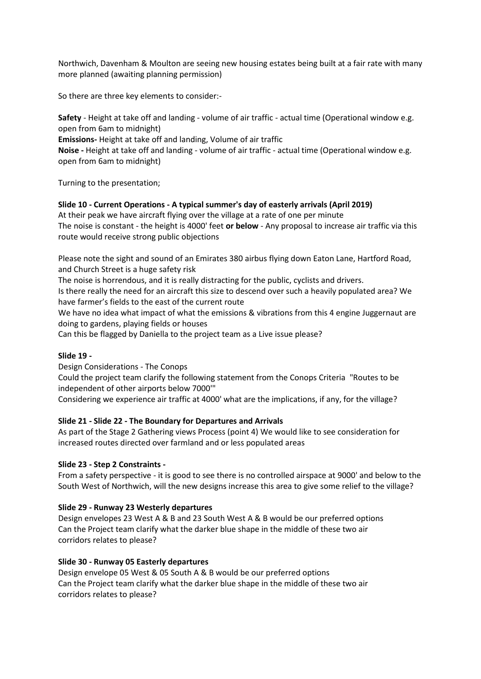Northwich, Davenham & Moulton are seeing new housing estates being built at a fair rate with many more planned (awaiting planning permission)

So there are three key elements to consider:-

**Safety** - Height at take off and landing - volume of air traffic - actual time (Operational window e.g. open from 6am to midnight)

**Emissions-** Height at take off and landing, Volume of air traffic

**Noise -** Height at take off and landing - volume of air traffic - actual time (Operational window e.g. open from 6am to midnight)

Turning to the presentation;

## **Slide 10 - Current Operations - A typical summer's day of easterly arrivals (April 2019)**

At their peak we have aircraft flying over the village at a rate of one per minute The noise is constant - the height is 4000' feet **or below** - Any proposal to increase air traffic via this route would receive strong public objections

Please note the sight and sound of an Emirates 380 airbus flying down Eaton Lane, Hartford Road, and Church Street is a huge safety risk

The noise is horrendous, and it is really distracting for the public, cyclists and drivers.

Is there really the need for an aircraft this size to descend over such a heavily populated area? We have farmer's fields to the east of the current route

We have no idea what impact of what the emissions & vibrations from this 4 engine Juggernaut are doing to gardens, playing fields or houses

Can this be flagged by Daniella to the project team as a Live issue please?

## **Slide 19 -**

Design Considerations - The Conops Could the project team clarify the following statement from the Conops Criteria "Routes to be independent of other airports below 7000'" Considering we experience air traffic at 4000' what are the implications, if any, for the village?

# **Slide 21 - Slide 22 - The Boundary for Departures and Arrivals**

As part of the Stage 2 Gathering views Process (point 4) We would like to see consideration for increased routes directed over farmland and or less populated areas

## **Slide 23 - Step 2 Constraints -**

From a safety perspective - it is good to see there is no controlled airspace at 9000' and below to the South West of Northwich, will the new designs increase this area to give some relief to the village?

## **Slide 29 - Runway 23 Westerly departures**

Design envelopes 23 West A & B and 23 South West A & B would be our preferred options Can the Project team clarify what the darker blue shape in the middle of these two air corridors relates to please?

## **Slide 30 - Runway 05 Easterly departures**

Design envelope 05 West & 05 South A & B would be our preferred options Can the Project team clarify what the darker blue shape in the middle of these two air corridors relates to please?